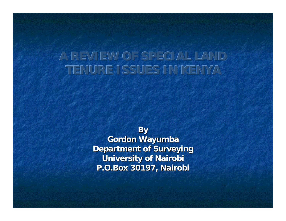#### **A REVIEW OF SPECIAL LAND TENURE ISSUES IN KENYA**

**By Gordon Wayumba Department of Surveying University of Nairobi P.O.Box 30197, Nairobi**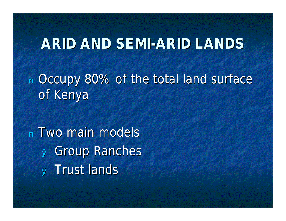### **ARID AND SEMI-ARID LANDS**

<sup>n</sup> Occupy 80% of the total land surface of Kenya

<sup>n</sup> Two main models <sup>Ø</sup> Group Ranches <sup>Ø</sup> Trust lands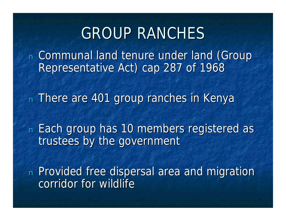## GROUP RANCHES

<sup>n</sup> Communal land tenure under land (Group Representative Act) cap 287 of 1968

n There are 401 group ranches in Kenya

<sup>n</sup> Each group has 10 members registered as trustees by the government

n Provided free dispersal area and migration corridor for wildlife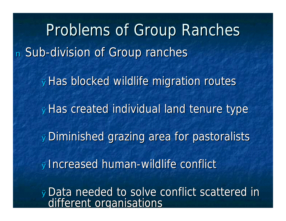Problems of Group Ranches <sup>n</sup> Sub-division of Group ranches <sup>Ø</sup>Has blocked wildlife migration routes øHas created individual land tenure type øDiminished grazing area for pastoralists <sup>Ø</sup>Increased human-wildlife conflict **øData needed to solve conflict scattered in** different organisations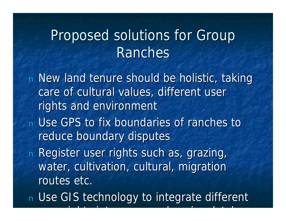## Proposed solutions for Group Ranches

<sup>n</sup> New land tenure should be holistic, taking care of cultural values, different user rights and environment n Use GPS to fix boundaries of ranches to reduce boundary disputes n Register user rights such as, grazing, water, cultivation, cultural, migration routes etc.

n Use GIS technology to integrate different

user rights into a comprehensive database rights into a comprehensive database of the comprehensive database o<br>Basic database database database database da comprehensive database da comprehensive da comprehensive da compr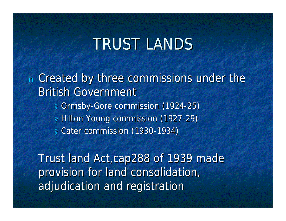# TRUST LANDS

<sup>n</sup> Created by three commissions under the British Government <sup>Ø</sup> Ormsby-Gore commission (1924-25) <sup>Ø</sup> Hilton Young commission (1927-29) <sup>Ø</sup> Cater commission (1930-1934)

Trust land Act,cap288 of 1939 made provision for land consolidation, adjudication and registration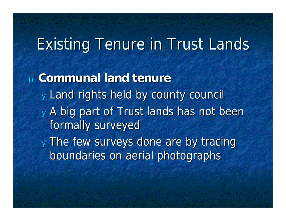# Existing Tenure in Trust Lands

<sup>n</sup> **Communal land tenure** <sup>Ø</sup> Land rights held by county council <sup>Ø</sup> A big part of Trust lands has not been formally surveyed <sup>Ø</sup> The few surveys done are by tracing boundaries on aerial photographs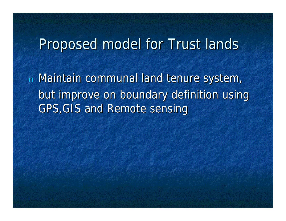#### Proposed model for Trust lands

<sup>n</sup> Maintain communal land tenure system, but improve on boundary definition using GPS,GIS and Remote sensing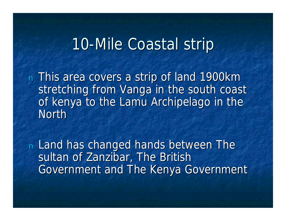## 10-Mile Coastal strip

<sup>n</sup> This area covers a strip of land 1900km stretching from Vanga in the south coast of kenya to the Lamu Archipelago in the North

<sup>n</sup> Land has changed hands between The sultan of Zanzibar, The British Government and The Kenya Government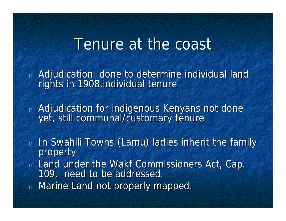### Tenure at the coast

<sup>n</sup> Adjudication done to determine individual land rights in 1908, individual tenure

n Adjudication for indigenous Kenyans not done yet, still communal/customary tenure

- n In Swahili Towns (Lamu) ladies inherit the family property
- <sup>n</sup> Land under the Wakf Commissioners Act, Cap. 109, need to be addressed.
- n Marine Land not properly mapped.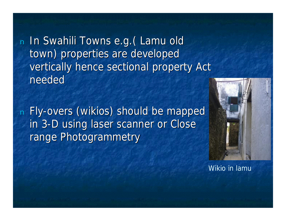<sup>n</sup> In Swahili Towns e.g.( Lamu old town) properties are developed vertically hence sectional property Act needed

<sup>n</sup> Fly-overs (wikios) should be mapped in 3-D using laser scanner or Close range Photogrammetry



Wikio in lamu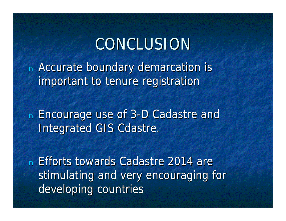# CONCLUSION

<sup>n</sup> Accurate boundary demarcation is important to tenure registration

<sup>n</sup> Encourage use of 3-D Cadastre and Integrated GIS Cdastre.

<sup>n</sup> Efforts towards Cadastre 2014 are stimulating and very encouraging for developing countries